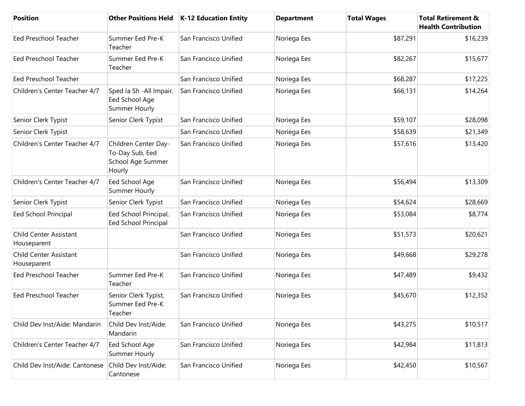| <b>Position</b>                              | <b>Other Positions Held</b>                                            | <b>K-12 Education Entity</b> | <b>Department</b> | <b>Total Wages</b> | <b>Total Retirement &amp;</b><br><b>Health Contribution</b> |
|----------------------------------------------|------------------------------------------------------------------------|------------------------------|-------------------|--------------------|-------------------------------------------------------------|
| <b>Eed Preschool Teacher</b>                 | Summer Eed Pre-K<br>Teacher                                            | San Francisco Unified        | Noriega Ees       | \$87,291           | \$16,239                                                    |
| <b>Eed Preschool Teacher</b>                 | Summer Eed Pre-K<br>Teacher                                            | San Francisco Unified        | Noriega Ees       | \$82,267           | \$15,677                                                    |
| <b>Eed Preschool Teacher</b>                 |                                                                        | San Francisco Unified        | Noriega Ees       | \$68,287           | \$17,225                                                    |
| Children's Center Teacher 4/7                | Sped la Sh - All Impair,<br>Eed School Age<br>Summer Hourly            | San Francisco Unified        | Noriega Ees       | \$66,131           | \$14,264                                                    |
| Senior Clerk Typist                          | Senior Clerk Typist                                                    | San Francisco Unified        | Noriega Ees       | \$59,107           | \$28,098                                                    |
| Senior Clerk Typist                          |                                                                        | San Francisco Unified        | Noriega Ees       | \$58,639           | \$21,349                                                    |
| Children's Center Teacher 4/7                | Children Center Day-<br>To-Day Sub, Eed<br>School Age Summer<br>Hourly | San Francisco Unified        | Noriega Ees       | \$57,616           | \$13,420                                                    |
| Children's Center Teacher 4/7                | Eed School Age<br>Summer Hourly                                        | San Francisco Unified        | Noriega Ees       | \$56,494           | \$13,309                                                    |
| Senior Clerk Typist                          | Senior Clerk Typist                                                    | San Francisco Unified        | Noriega Ees       | \$54,624           | \$28,669                                                    |
| <b>Eed School Principal</b>                  | Eed School Principal,<br><b>Eed School Principal</b>                   | San Francisco Unified        | Noriega Ees       | \$53,084           | \$8,774                                                     |
| <b>Child Center Assistant</b><br>Houseparent |                                                                        | San Francisco Unified        | Noriega Ees       | \$51,573           | \$20,621                                                    |
| <b>Child Center Assistant</b><br>Houseparent |                                                                        | San Francisco Unified        | Noriega Ees       | \$49,668           | \$29,278                                                    |
| Eed Preschool Teacher                        | Summer Eed Pre-K<br>Teacher                                            | San Francisco Unified        | Noriega Ees       | \$47,489           | \$9,432                                                     |
| <b>Eed Preschool Teacher</b>                 | Senior Clerk Typist,<br>Summer Eed Pre-K<br>Teacher                    | San Francisco Unified        | Noriega Ees       | \$45,670           | \$12,352                                                    |
| Child Dev Inst/Aide: Mandarin                | Child Dev Inst/Aide:<br>Mandarin                                       | San Francisco Unified        | Noriega Ees       | \$43,275           | \$10,517                                                    |
| Children's Center Teacher 4/7                | Eed School Age<br>Summer Hourly                                        | San Francisco Unified        | Noriega Ees       | \$42,984           | \$11,813                                                    |
| Child Dev Inst/Aide: Cantonese               | Child Dev Inst/Aide:<br>Cantonese                                      | San Francisco Unified        | Noriega Ees       | \$42,450           | \$10,567                                                    |